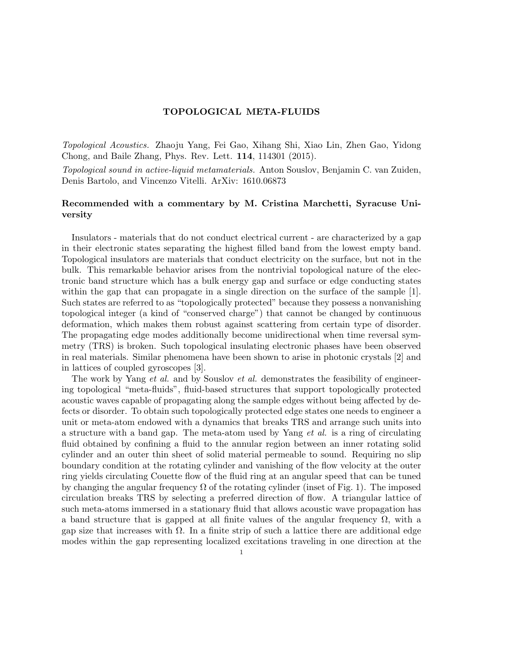## TOPOLOGICAL META-FLUIDS

Topological Acoustics. Zhaoju Yang, Fei Gao, Xihang Shi, Xiao Lin, Zhen Gao, Yidong Chong, and Baile Zhang, Phys. Rev. Lett. 114, 114301 (2015).

Topological sound in active-liquid metamaterials. Anton Souslov, Benjamin C. van Zuiden, Denis Bartolo, and Vincenzo Vitelli. ArXiv: 1610.06873

## Recommended with a commentary by M. Cristina Marchetti, Syracuse University

Insulators - materials that do not conduct electrical current - are characterized by a gap in their electronic states separating the highest filled band from the lowest empty band. Topological insulators are materials that conduct electricity on the surface, but not in the bulk. This remarkable behavior arises from the nontrivial topological nature of the electronic band structure which has a bulk energy gap and surface or edge conducting states within the gap that can propagate in a single direction on the surface of the sample [1]. Such states are referred to as "topologically protected" because they possess a nonvanishing topological integer (a kind of "conserved charge") that cannot be changed by continuous deformation, which makes them robust against scattering from certain type of disorder. The propagating edge modes additionally become unidirectional when time reversal symmetry (TRS) is broken. Such topological insulating electronic phases have been observed in real materials. Similar phenomena have been shown to arise in photonic crystals [2] and in lattices of coupled gyroscopes [3].

The work by Yang *et al.* and by Souslov *et al.* demonstrates the feasibility of engineering topological "meta-fluids", fluid-based structures that support topologically protected acoustic waves capable of propagating along the sample edges without being affected by defects or disorder. To obtain such topologically protected edge states one needs to engineer a unit or meta-atom endowed with a dynamics that breaks TRS and arrange such units into a structure with a band gap. The meta-atom used by Yang et al. is a ring of circulating fluid obtained by confining a fluid to the annular region between an inner rotating solid cylinder and an outer thin sheet of solid material permeable to sound. Requiring no slip boundary condition at the rotating cylinder and vanishing of the flow velocity at the outer ring yields circulating Couette flow of the fluid ring at an angular speed that can be tuned by changing the angular frequency  $\Omega$  of the rotating cylinder (inset of Fig. 1). The imposed circulation breaks TRS by selecting a preferred direction of flow. A triangular lattice of such meta-atoms immersed in a stationary fluid that allows acoustic wave propagation has a band structure that is gapped at all finite values of the angular frequency  $\Omega$ , with a gap size that increases with  $\Omega$ . In a finite strip of such a lattice there are additional edge modes within the gap representing localized excitations traveling in one direction at the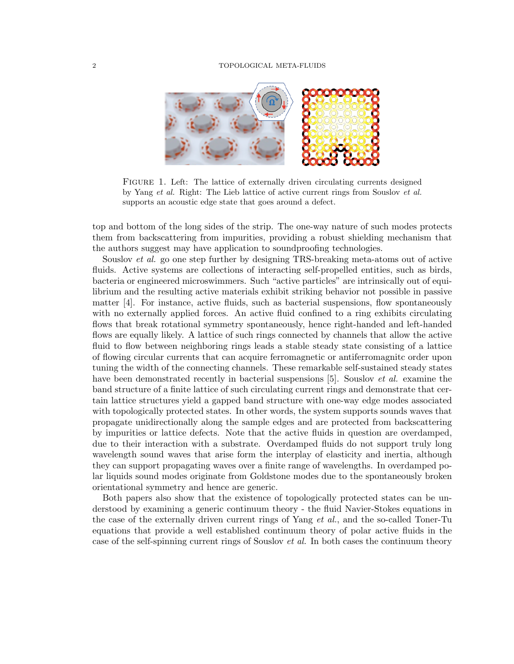## 2 TOPOLOGICAL META-FLUIDS



FIGURE 1. Left: The lattice of externally driven circulating currents designed by Yang et al. Right: The Lieb lattice of active current rings from Souslov et al. supports an acoustic edge state that goes around a defect.

top and bottom of the long sides of the strip. The one-way nature of such modes protects them from backscattering from impurities, providing a robust shielding mechanism that the authors suggest may have application to soundproofing technologies.

Souslov et al. go one step further by designing TRS-breaking meta-atoms out of active fluids. Active systems are collections of interacting self-propelled entities, such as birds, bacteria or engineered microswimmers. Such "active particles" are intrinsically out of equilibrium and the resulting active materials exhibit striking behavior not possible in passive matter [4]. For instance, active fluids, such as bacterial suspensions, flow spontaneously with no externally applied forces. An active fluid confined to a ring exhibits circulating flows that break rotational symmetry spontaneously, hence right-handed and left-handed flows are equally likely. A lattice of such rings connected by channels that allow the active fluid to flow between neighboring rings leads a stable steady state consisting of a lattice of flowing circular currents that can acquire ferromagnetic or antiferromagnitc order upon tuning the width of the connecting channels. These remarkable self-sustained steady states have been demonstrated recently in bacterial suspensions [5]. Souslov *et al.* examine the band structure of a finite lattice of such circulating current rings and demonstrate that certain lattice structures yield a gapped band structure with one-way edge modes associated with topologically protected states. In other words, the system supports sounds waves that propagate unidirectionally along the sample edges and are protected from backscattering by impurities or lattice defects. Note that the active fluids in question are overdamped, due to their interaction with a substrate. Overdamped fluids do not support truly long wavelength sound waves that arise form the interplay of elasticity and inertia, although they can support propagating waves over a finite range of wavelengths. In overdamped polar liquids sound modes originate from Goldstone modes due to the spontaneously broken orientational symmetry and hence are generic.

Both papers also show that the existence of topologically protected states can be understood by examining a generic continuum theory - the fluid Navier-Stokes equations in the case of the externally driven current rings of Yang *et al.*, and the so-called Toner-Tu equations that provide a well established continuum theory of polar active fluids in the case of the self-spinning current rings of Souslov et al. In both cases the continuum theory